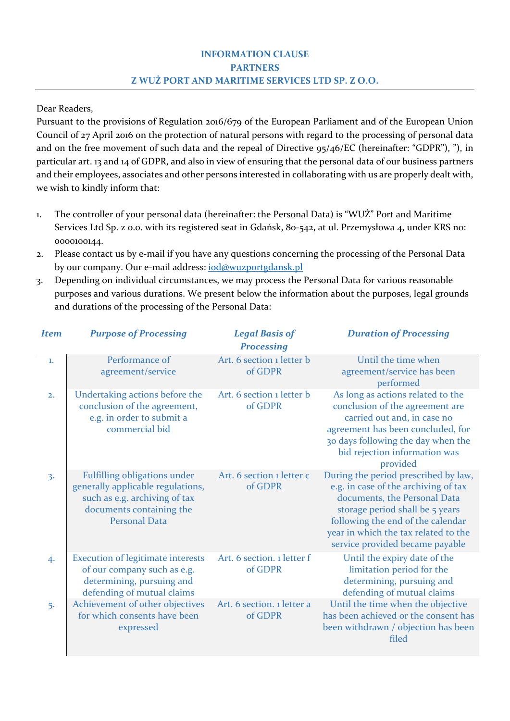## **INFORMATION CLAUSE PARTNERS Z WUŻ PORT AND MARITIME SERVICES LTD SP. Z O.O.**

Dear Readers,

Pursuant to the provisions of Regulation 2016/679 of the European Parliament and of the European Union Council of 27 April 2016 on the protection of natural persons with regard to the processing of personal data and on the free movement of such data and the repeal of Directive 95/46/EC (hereinafter: "GDPR"), "), in particular art. 13 and 14 of GDPR, and also in view of ensuring that the personal data of our business partners and their employees, associates and other persons interested in collaborating with us are properly dealt with, we wish to kindly inform that:

- 1. The controller of your personal data (hereinafter: the Personal Data) is "WUŻ" Port and Maritime Services Ltd Sp. z o.o. with its registered seat in Gdańsk, 80-542, at ul. Przemysłowa 4, under KRS no: 0000100144.
- 2. Please contact us by e‐mail if you have any questions concerning the processing of the Personal Data by our company. Our e-mail address: *iod@wuzportgdansk.pl*
- 3. Depending on individual circumstances, we may process the Personal Data for various reasonable purposes and various durations. We present below the information about the purposes, legal grounds and durations of the processing of the Personal Data:

| <b>Item</b> | <b>Purpose of Processing</b>                                                                                                                                  | <b>Legal Basis of</b><br><b>Processing</b> | <b>Duration of Processing</b>                                                                                                                                                                                                                                   |
|-------------|---------------------------------------------------------------------------------------------------------------------------------------------------------------|--------------------------------------------|-----------------------------------------------------------------------------------------------------------------------------------------------------------------------------------------------------------------------------------------------------------------|
| 1.          | Performance of<br>agreement/service                                                                                                                           | Art. 6 section 1 letter b<br>of GDPR       | Until the time when<br>agreement/service has been<br>performed                                                                                                                                                                                                  |
| 2.          | Undertaking actions before the<br>conclusion of the agreement,<br>e.g. in order to submit a<br>commercial bid                                                 | Art. 6 section 1 letter b<br>of GDPR       | As long as actions related to the<br>conclusion of the agreement are<br>carried out and, in case no<br>agreement has been concluded, for<br>30 days following the day when the<br>bid rejection information was<br>provided                                     |
| 3.          | <b>Fulfilling obligations under</b><br>generally applicable regulations,<br>such as e.g. archiving of tax<br>documents containing the<br><b>Personal Data</b> | Art. 6 section 1 letter c<br>of GDPR       | During the period prescribed by law,<br>e.g. in case of the archiving of tax<br>documents, the Personal Data<br>storage period shall be 5 years<br>following the end of the calendar<br>year in which the tax related to the<br>service provided became payable |
| 4.          | <b>Execution of legitimate interests</b><br>of our company such as e.g.<br>determining, pursuing and<br>defending of mutual claims                            | Art. 6 section. 1 letter f<br>of GDPR      | Until the expiry date of the<br>limitation period for the<br>determining, pursuing and<br>defending of mutual claims                                                                                                                                            |
| 5.          | Achievement of other objectives<br>for which consents have been<br>expressed                                                                                  | Art. 6 section. 1 letter a<br>of GDPR      | Until the time when the objective<br>has been achieved or the consent has<br>been withdrawn / objection has been<br>filed                                                                                                                                       |